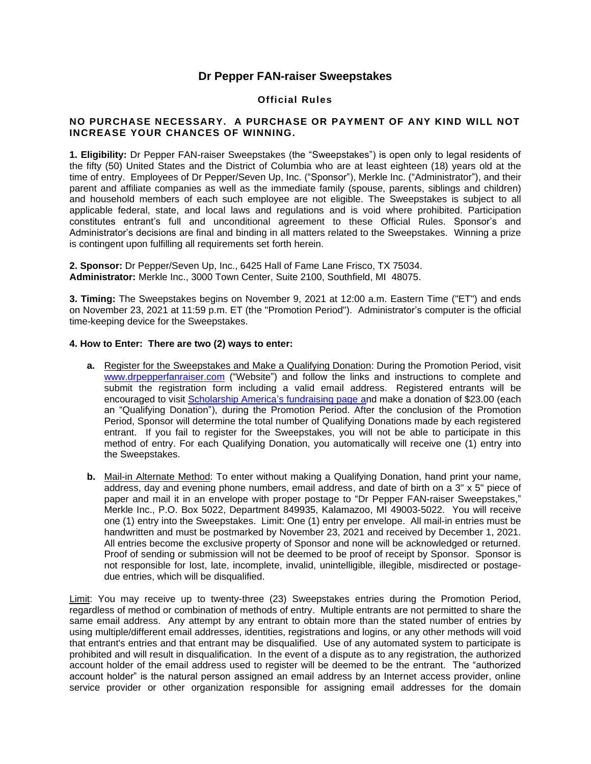## **Dr Pepper FAN-raiser Sweepstakes**

## **Official Rules**

## **NO PURCHASE NECESSARY. A PURCHASE OR PAYMENT OF ANY KIND WILL NOT INCREASE YOUR CHANCES OF WINNING.**

**1. Eligibility:** Dr Pepper FAN-raiser Sweepstakes (the "Sweepstakes") is open only to legal residents of the fifty (50) United States and the District of Columbia who are at least eighteen (18) years old at the time of entry. Employees of Dr Pepper/Seven Up, Inc. ("Sponsor"), Merkle Inc. ("Administrator"), and their parent and affiliate companies as well as the immediate family (spouse, parents, siblings and children) and household members of each such employee are not eligible. The Sweepstakes is subject to all applicable federal, state, and local laws and regulations and is void where prohibited. Participation constitutes entrant's full and unconditional agreement to these Official Rules. Sponsor's and Administrator's decisions are final and binding in all matters related to the Sweepstakes. Winning a prize is contingent upon fulfilling all requirements set forth herein.

**2. Sponsor:** Dr Pepper/Seven Up, Inc., 6425 Hall of Fame Lane Frisco, TX 75034. **Administrator:** Merkle Inc., 3000 Town Center, Suite 2100, Southfield, MI 48075.

**3. Timing:** The Sweepstakes begins on November 9, 2021 at 12:00 a.m. Eastern Time ("ET") and ends on November 23, 2021 at 11:59 p.m. ET (the "Promotion Period"). Administrator's computer is the official time-keeping device for the Sweepstakes.

## **4. How to Enter: There are two (2) ways to enter:**

- **a.** Register for the Sweepstakes and Make a Qualifying Donation: During the Promotion Period, visit [www.drpepperfanraiser.com](http://www.drpepperfanraiser.com/) ("Website") and follow the links and instructions to complete and submit the registration form including a valid email address. Registered entrants will be encouraged to visit [Scholarship America's fundraising page](https://www.paypal.com/donate?hosted_button_id=E6YXWAY5Z53AG) and make a donation of \$23.00 (each an "Qualifying Donation"), during the Promotion Period. After the conclusion of the Promotion Period, Sponsor will determine the total number of Qualifying Donations made by each registered entrant. If you fail to register for the Sweepstakes, you will not be able to participate in this method of entry. For each Qualifying Donation, you automatically will receive one (1) entry into the Sweepstakes.
- **b.** Mail-in Alternate Method: To enter without making a Qualifying Donation, hand print your name, address, day and evening phone numbers, email address, and date of birth on a 3" x 5" piece of paper and mail it in an envelope with proper postage to "Dr Pepper FAN-raiser Sweepstakes," Merkle Inc., P.O. Box 5022, Department 849935, Kalamazoo, MI 49003-5022. You will receive one (1) entry into the Sweepstakes. Limit: One (1) entry per envelope. All mail-in entries must be handwritten and must be postmarked by November 23, 2021 and received by December 1, 2021. All entries become the exclusive property of Sponsor and none will be acknowledged or returned. Proof of sending or submission will not be deemed to be proof of receipt by Sponsor. Sponsor is not responsible for lost, late, incomplete, invalid, unintelligible, illegible, misdirected or postagedue entries, which will be disqualified.

Limit: You may receive up to twenty-three (23) Sweepstakes entries during the Promotion Period, regardless of method or combination of methods of entry. Multiple entrants are not permitted to share the same email address. Any attempt by any entrant to obtain more than the stated number of entries by using multiple/different email addresses, identities, registrations and logins, or any other methods will void that entrant's entries and that entrant may be disqualified. Use of any automated system to participate is prohibited and will result in disqualification. In the event of a dispute as to any registration, the authorized account holder of the email address used to register will be deemed to be the entrant. The "authorized account holder" is the natural person assigned an email address by an Internet access provider, online service provider or other organization responsible for assigning email addresses for the domain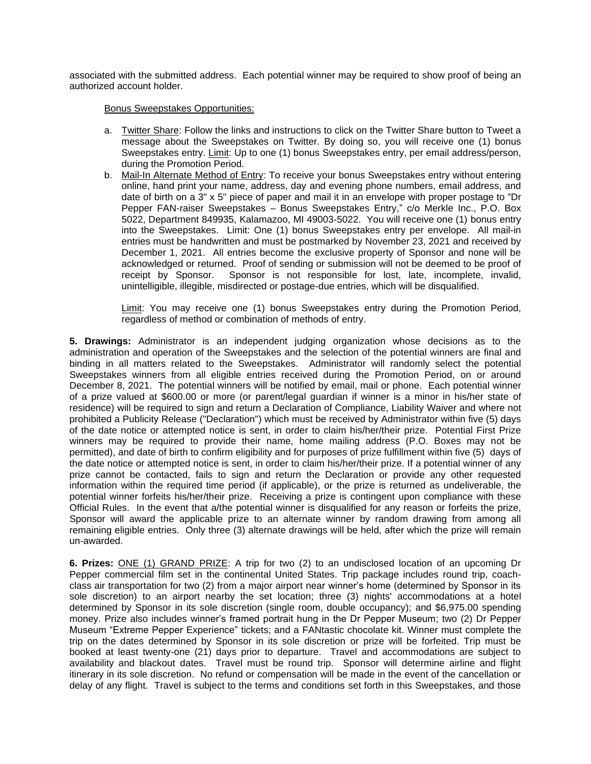associated with the submitted address. Each potential winner may be required to show proof of being an authorized account holder.

Bonus Sweepstakes Opportunities:

- a. Twitter Share: Follow the links and instructions to click on the Twitter Share button to Tweet a message about the Sweepstakes on Twitter. By doing so, you will receive one (1) bonus Sweepstakes entry. Limit: Up to one (1) bonus Sweepstakes entry, per email address/person, during the Promotion Period.
- b. Mail-In Alternate Method of Entry: To receive your bonus Sweepstakes entry without entering online, hand print your name, address, day and evening phone numbers, email address, and date of birth on a 3" x 5" piece of paper and mail it in an envelope with proper postage to "Dr Pepper FAN-raiser Sweepstakes – Bonus Sweepstakes Entry," c/o Merkle Inc., P.O. Box 5022, Department 849935, Kalamazoo, MI 49003-5022. You will receive one (1) bonus entry into the Sweepstakes. Limit: One (1) bonus Sweepstakes entry per envelope. All mail-in entries must be handwritten and must be postmarked by November 23, 2021 and received by December 1, 2021. All entries become the exclusive property of Sponsor and none will be acknowledged or returned. Proof of sending or submission will not be deemed to be proof of receipt by Sponsor. Sponsor is not responsible for lost, late, incomplete, invalid, unintelligible, illegible, misdirected or postage-due entries, which will be disqualified.

Limit: You may receive one (1) bonus Sweepstakes entry during the Promotion Period, regardless of method or combination of methods of entry.

**5. Drawings:** Administrator is an independent judging organization whose decisions as to the administration and operation of the Sweepstakes and the selection of the potential winners are final and binding in all matters related to the Sweepstakes. Administrator will randomly select the potential Sweepstakes winners from all eligible entries received during the Promotion Period, on or around December 8, 2021. The potential winners will be notified by email, mail or phone. Each potential winner of a prize valued at \$600.00 or more (or parent/legal guardian if winner is a minor in his/her state of residence) will be required to sign and return a Declaration of Compliance, Liability Waiver and where not prohibited a Publicity Release ("Declaration") which must be received by Administrator within five (5) days of the date notice or attempted notice is sent, in order to claim his/her/their prize. Potential First Prize winners may be required to provide their name, home mailing address (P.O. Boxes may not be permitted), and date of birth to confirm eligibility and for purposes of prize fulfillment within five (5) days of the date notice or attempted notice is sent, in order to claim his/her/their prize. If a potential winner of any prize cannot be contacted, fails to sign and return the Declaration or provide any other requested information within the required time period (if applicable), or the prize is returned as undeliverable, the potential winner forfeits his/her/their prize. Receiving a prize is contingent upon compliance with these Official Rules. In the event that a/the potential winner is disqualified for any reason or forfeits the prize, Sponsor will award the applicable prize to an alternate winner by random drawing from among all remaining eligible entries. Only three (3) alternate drawings will be held, after which the prize will remain un-awarded.

**6. Prizes:** ONE (1) GRAND PRIZE: A trip for two (2) to an undisclosed location of an upcoming Dr Pepper commercial film set in the continental United States. Trip package includes round trip, coachclass air transportation for two (2) from a major airport near winner's home (determined by Sponsor in its sole discretion) to an airport nearby the set location; three (3) nights' accommodations at a hotel determined by Sponsor in its sole discretion (single room, double occupancy); and \$6,975.00 spending money. Prize also includes winner's framed portrait hung in the Dr Pepper Museum; two (2) Dr Pepper Museum "Extreme Pepper Experience" tickets; and a FANtastic chocolate kit. Winner must complete the trip on the dates determined by Sponsor in its sole discretion or prize will be forfeited. Trip must be booked at least twenty-one (21) days prior to departure. Travel and accommodations are subject to availability and blackout dates. Travel must be round trip. Sponsor will determine airline and flight itinerary in its sole discretion. No refund or compensation will be made in the event of the cancellation or delay of any flight. Travel is subject to the terms and conditions set forth in this Sweepstakes, and those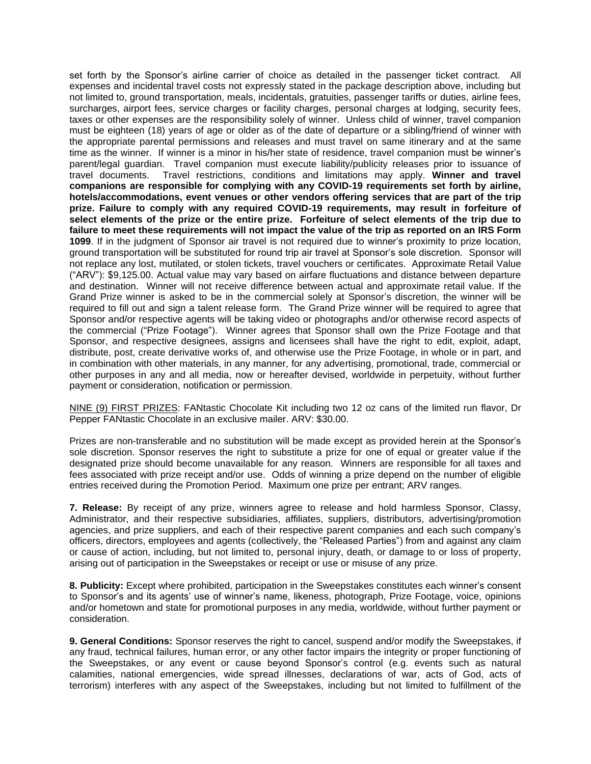set forth by the Sponsor's airline carrier of choice as detailed in the passenger ticket contract. All expenses and incidental travel costs not expressly stated in the package description above, including but not limited to, ground transportation, meals, incidentals, gratuities, passenger tariffs or duties, airline fees, surcharges, airport fees, service charges or facility charges, personal charges at lodging, security fees, taxes or other expenses are the responsibility solely of winner. Unless child of winner, travel companion must be eighteen (18) years of age or older as of the date of departure or a sibling/friend of winner with the appropriate parental permissions and releases and must travel on same itinerary and at the same time as the winner. If winner is a minor in his/her state of residence, travel companion must be winner's parent/legal guardian. Travel companion must execute liability/publicity releases prior to issuance of travel documents. Travel restrictions, conditions and limitations may apply. **Winner and travel companions are responsible for complying with any COVID-19 requirements set forth by airline, hotels/accommodations, event venues or other vendors offering services that are part of the trip prize. Failure to comply with any required COVID-19 requirements, may result in forfeiture of select elements of the prize or the entire prize. Forfeiture of select elements of the trip due to failure to meet these requirements will not impact the value of the trip as reported on an IRS Form 1099**. If in the judgment of Sponsor air travel is not required due to winner's proximity to prize location, ground transportation will be substituted for round trip air travel at Sponsor's sole discretion. Sponsor will not replace any lost, mutilated, or stolen tickets, travel vouchers or certificates. Approximate Retail Value ("ARV"): \$9,125.00. Actual value may vary based on airfare fluctuations and distance between departure and destination. Winner will not receive difference between actual and approximate retail value. If the Grand Prize winner is asked to be in the commercial solely at Sponsor's discretion, the winner will be required to fill out and sign a talent release form. The Grand Prize winner will be required to agree that Sponsor and/or respective agents will be taking video or photographs and/or otherwise record aspects of the commercial ("Prize Footage"). Winner agrees that Sponsor shall own the Prize Footage and that Sponsor, and respective designees, assigns and licensees shall have the right to edit, exploit, adapt, distribute, post, create derivative works of, and otherwise use the Prize Footage, in whole or in part, and in combination with other materials, in any manner, for any advertising, promotional, trade, commercial or other purposes in any and all media, now or hereafter devised, worldwide in perpetuity, without further payment or consideration, notification or permission.

NINE (9) FIRST PRIZES: FANtastic Chocolate Kit including two 12 oz cans of the limited run flavor, Dr Pepper FANtastic Chocolate in an exclusive mailer. ARV: \$30.00.

Prizes are non-transferable and no substitution will be made except as provided herein at the Sponsor's sole discretion. Sponsor reserves the right to substitute a prize for one of equal or greater value if the designated prize should become unavailable for any reason. Winners are responsible for all taxes and fees associated with prize receipt and/or use. Odds of winning a prize depend on the number of eligible entries received during the Promotion Period. Maximum one prize per entrant; ARV ranges.

**7. Release:** By receipt of any prize, winners agree to release and hold harmless Sponsor, Classy, Administrator, and their respective subsidiaries, affiliates, suppliers, distributors, advertising/promotion agencies, and prize suppliers, and each of their respective parent companies and each such company's officers, directors, employees and agents (collectively, the "Released Parties") from and against any claim or cause of action, including, but not limited to, personal injury, death, or damage to or loss of property, arising out of participation in the Sweepstakes or receipt or use or misuse of any prize.

**8. Publicity:** Except where prohibited, participation in the Sweepstakes constitutes each winner's consent to Sponsor's and its agents' use of winner's name, likeness, photograph, Prize Footage, voice, opinions and/or hometown and state for promotional purposes in any media, worldwide, without further payment or consideration.

**9. General Conditions:** Sponsor reserves the right to cancel, suspend and/or modify the Sweepstakes, if any fraud, technical failures, human error, or any other factor impairs the integrity or proper functioning of the Sweepstakes, or any event or cause beyond Sponsor's control (e.g. events such as natural calamities, national emergencies, wide spread illnesses, declarations of war, acts of God, acts of terrorism) interferes with any aspect of the Sweepstakes, including but not limited to fulfillment of the